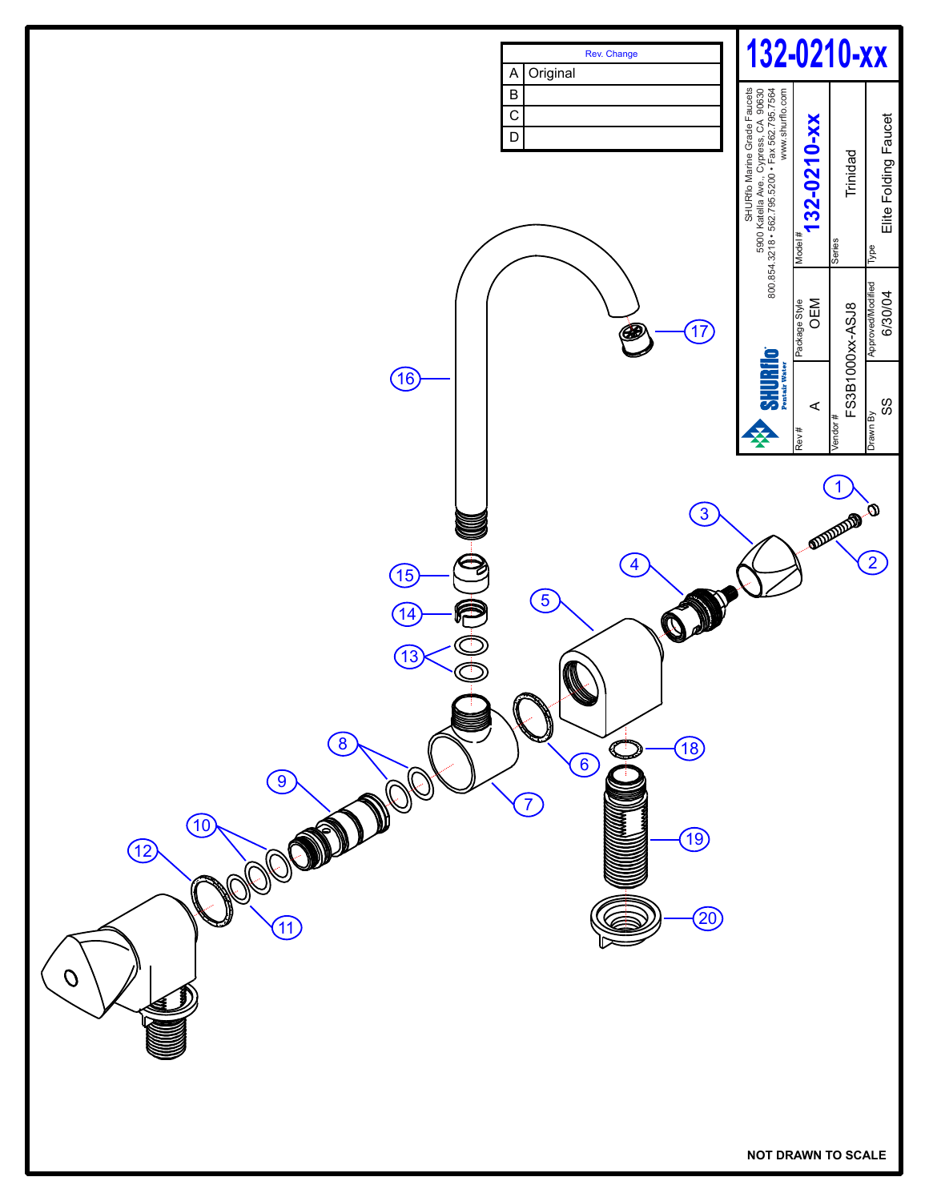